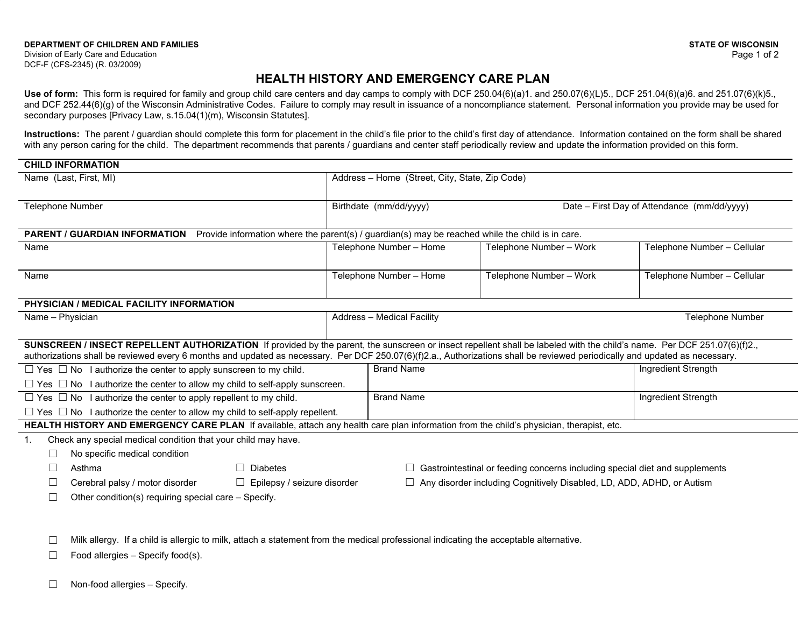Division of Early Care and Education DCF-F (CFS-2345) (R. 03/2009)

## **HEALTH HISTORY AND EMERGENCY CARE PLAN**

Use of form: This form is required for family and group child care centers and day camps to comply with DCF 250.04(6)(a)1. and 250.07(6)(L)5., DCF 251.04(6)(a)6. and 251.07(6)(k)5., and DCF 252.44(6)(g) of the Wisconsin Administrative Codes. Failure to comply may result in issuance of a noncompliance statement. Personal information you provide may be used for secondary purposes [Privacy Law, s.15.04(1)(m), Wisconsin Statutes].

**Instructions:** The parent / guardian should complete this form for placement in the child's file prior to the child's first day of attendance. Information contained on the form shall be shared with any person caring for the child. The department recommends that parents / guardians and center staff periodically review and update the information provided on this form.

| <b>CHILD INFORMATION</b>                                                                                                                                                                                                                                                                                                                               |                                                                                    |                         |                                             |
|--------------------------------------------------------------------------------------------------------------------------------------------------------------------------------------------------------------------------------------------------------------------------------------------------------------------------------------------------------|------------------------------------------------------------------------------------|-------------------------|---------------------------------------------|
| Name (Last, First, MI)                                                                                                                                                                                                                                                                                                                                 | Address - Home (Street, City, State, Zip Code)                                     |                         |                                             |
|                                                                                                                                                                                                                                                                                                                                                        |                                                                                    |                         |                                             |
| <b>Telephone Number</b>                                                                                                                                                                                                                                                                                                                                | Birthdate (mm/dd/yyyy)                                                             |                         | Date – First Day of Attendance (mm/dd/yyyy) |
|                                                                                                                                                                                                                                                                                                                                                        |                                                                                    |                         |                                             |
| <b>PARENT / GUARDIAN INFORMATION</b><br>Provide information where the parent(s) / guardian(s) may be reached while the child is in care.                                                                                                                                                                                                               |                                                                                    |                         |                                             |
| Name                                                                                                                                                                                                                                                                                                                                                   | Telephone Number - Home                                                            | Telephone Number - Work | Telephone Number - Cellular                 |
|                                                                                                                                                                                                                                                                                                                                                        |                                                                                    |                         |                                             |
| Name                                                                                                                                                                                                                                                                                                                                                   | Telephone Number - Home                                                            | Telephone Number - Work | Telephone Number - Cellular                 |
|                                                                                                                                                                                                                                                                                                                                                        |                                                                                    |                         |                                             |
| PHYSICIAN / MEDICAL FACILITY INFORMATION                                                                                                                                                                                                                                                                                                               |                                                                                    |                         |                                             |
| Name - Physician                                                                                                                                                                                                                                                                                                                                       | <b>Address - Medical Facility</b>                                                  |                         | <b>Telephone Number</b>                     |
|                                                                                                                                                                                                                                                                                                                                                        |                                                                                    |                         |                                             |
| SUNSCREEN / INSECT REPELLENT AUTHORIZATION If provided by the parent, the sunscreen or insect repellent shall be labeled with the child's name. Per DCF 251.07(6)(f)2.,<br>authorizations shall be reviewed every 6 months and updated as necessary. Per DCF 250.07(6)(f)2.a., Authorizations shall be reviewed periodically and updated as necessary. |                                                                                    |                         |                                             |
| $\Box$ Yes $\Box$ No I authorize the center to apply sunscreen to my child.                                                                                                                                                                                                                                                                            | <b>Brand Name</b>                                                                  |                         | Ingredient Strength                         |
| $\Box$ Yes $\Box$ No I authorize the center to allow my child to self-apply sunscreen.                                                                                                                                                                                                                                                                 |                                                                                    |                         |                                             |
| $\Box$ Yes $\Box$ No I authorize the center to apply repellent to my child.                                                                                                                                                                                                                                                                            | <b>Brand Name</b>                                                                  |                         | Ingredient Strength                         |
| $\Box$ Yes $\Box$ No I authorize the center to allow my child to self-apply repellent.                                                                                                                                                                                                                                                                 |                                                                                    |                         |                                             |
| HEALTH HISTORY AND EMERGENCY CARE PLAN If available, attach any health care plan information from the child's physician, therapist, etc.                                                                                                                                                                                                               |                                                                                    |                         |                                             |
| Check any special medical condition that your child may have.<br>$\mathbf{1}$ .                                                                                                                                                                                                                                                                        |                                                                                    |                         |                                             |
| No specific medical condition<br>П                                                                                                                                                                                                                                                                                                                     |                                                                                    |                         |                                             |
| □<br>Asthma<br>$\Box$ Diabetes                                                                                                                                                                                                                                                                                                                         | $\Box$ Gastrointestinal or feeding concerns including special diet and supplements |                         |                                             |
| Cerebral palsy / motor disorder<br>$\Box$ Epilepsy / seizure disorder                                                                                                                                                                                                                                                                                  | $\Box$ Any disorder including Cognitively Disabled, LD, ADD, ADHD, or Autism       |                         |                                             |
| Other condition(s) requiring special care - Specify.<br>П                                                                                                                                                                                                                                                                                              |                                                                                    |                         |                                             |
|                                                                                                                                                                                                                                                                                                                                                        |                                                                                    |                         |                                             |
|                                                                                                                                                                                                                                                                                                                                                        |                                                                                    |                         |                                             |
| Milk allergy. If a child is allergic to milk, attach a statement from the medical professional indicating the acceptable alternative.                                                                                                                                                                                                                  |                                                                                    |                         |                                             |
| Food allergies - Specify food(s).<br>Ш                                                                                                                                                                                                                                                                                                                 |                                                                                    |                         |                                             |

☐ Non-food allergies – Specify.